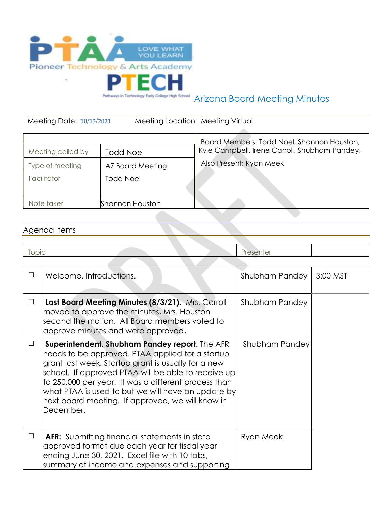

## Arizona Board Meeting Minutes

Meeting Date: **10/15/2021** Meeting Location: Meeting Virtual

|                   |                  | Board Members: Todd Noel, Shannon Houston,    |
|-------------------|------------------|-----------------------------------------------|
| Meeting called by | <b>Todd Noel</b> | Kyle Campbell, Irene Carroll, Shubham Pandey, |
| Type of meeting   | AZ Board Meeting | Also Present: Ryan Meek                       |
| Facilitator       | <b>Todd Noel</b> |                                               |
|                   |                  |                                               |
| Note taker        | Shannon Houston  |                                               |

## Agenda Items

|  | $\overline{\phantom{0}}$ |  |
|--|--------------------------|--|
|  |                          |  |

| $\perp$ | Welcome. Introductions.                                                                                                                                                                                                                                                                                                                                                                         | Shubham Pandey        | 3:00 MST |
|---------|-------------------------------------------------------------------------------------------------------------------------------------------------------------------------------------------------------------------------------------------------------------------------------------------------------------------------------------------------------------------------------------------------|-----------------------|----------|
| $\Box$  | Last Board Meeting Minutes (8/3/21). Mrs. Carroll<br>moved to approve the minutes, Mrs. Houston<br>second the motion. All Board members voted to<br>approve minutes and were approved.                                                                                                                                                                                                          | <b>Shubham Pandey</b> |          |
| Ш       | Superintendent, Shubham Pandey report. The AFR<br>needs to be approved. PTAA applied for a startup<br>grant last week. Startup grant is usually for a new<br>school. If approved PTAA will be able to receive up<br>to 250,000 per year. It was a different process than<br>what PTAA is used to but we will have an update by<br>next board meeting. If approved, we will know in<br>December. | Shubham Pandey        |          |
| $\perp$ | <b>AFR:</b> Submitting financial statements in state<br>approved format due each year for fiscal year<br>ending June 30, 2021. Excel file with 10 tabs,<br>summary of income and expenses and supporting                                                                                                                                                                                        | Ryan Meek             |          |